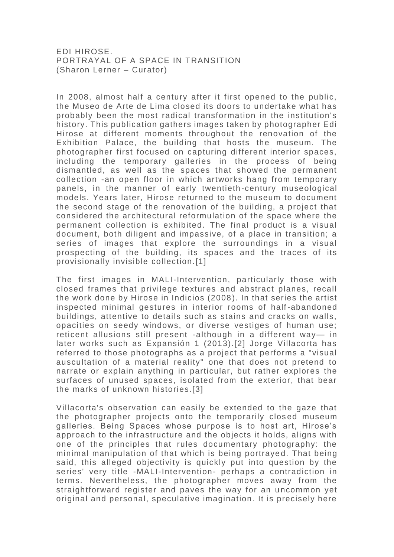EDI HIROSE. PORTRAYAL OF A SPACE IN TRANSITION (Sharon Lerner – Curator)

In 2008, almost half a century after it first opened to the public, the Museo de Arte de Lima closed its doors to undertake what has probably been the most radical transformation in the institution's history. This publication gathers images taken by photographer Edi Hirose at different moments throughout the renovation of the Exhibition Palace, the building that hosts the museum. The photographer first focused on capturing different interior spaces, including the temporary galleries in the process of being dismantled, as well as the spaces that showed the permanent collection -an open floor in which artworks hang from temporary panels, in the manner of early twentieth -century museological models. Years later, Hirose returned to the museum to document the second stage of the renovation of the building, a project that considered the architectural reformulation of the space where the permanent collection is exhibited. The final product is a visual document, both diligent and impassive, of a place in transition; a series of images that explore the surroundings in a visual prospecting of the building, its spaces and the traces of its provisionally invisible collection.[1]

The first images in MALI-Intervention, particularly those with closed frames that privilege textures and abstract planes, recall the work done by Hirose in Indicios (2008 ). In that series the artist inspected minimal gestures in interior rooms of half -abandoned buildings, attentive to details such as stains and cracks on walls, opacities on seedy windows, or diverse vestiges of human use; reticent allusions still present -although in a different way— in later works such as Expansión 1 (2013).[2] Jorge Villacorta has referred to those photographs as a project that performs a "visual auscultation of a material reality" one that does not pretend to narrate or explain anything in particular, but rather explores the surfaces of unused spaces, isolated from the exterior, that bear the marks of unknown histories.[3]

Villacorta's observation can easily be extended to the gaze that the photographer projects onto the temporarily closed museum galleries. Being Spaces whose purpose is to host art, Hirose's approach to the infrastructure and the objects it holds, aligns with one of the principles that rules documentary photography: the minimal manipulation of that which is being portrayed. That being said, this alleged objectivity is quickly put into question by the series' very title -MALI-Intervention- perhaps a contradiction in terms. Nevertheless, the photographer moves away from the straightforward register and paves the way for an uncommon yet original and personal, speculative imagination. It is precisely here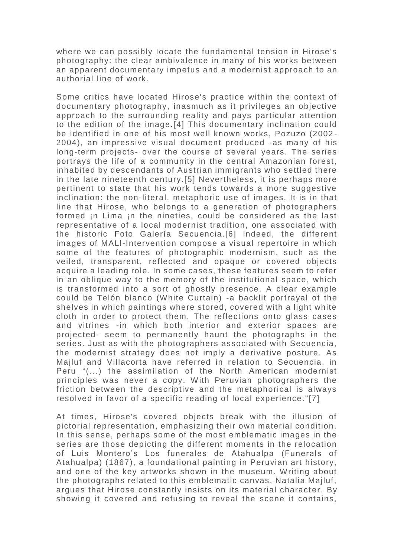where we can possibly Iocate the fundamental tension in Hirose's photography: the clear ambivalence in many of his works between an apparent documentary impetus and a modernist approach to an authorial line of work.

Some critics have located Hirose's practice within the context of documentary photography, inasmuch as it privileges an objective approach to the surrounding reality and pays particular attention to the edition of the image.[4] This documentary inclination could be identified in one of his most well known works, Pozuzo (2002 - 2004), an impressive visual document produced -as many of his long-term projects- over the course of several years. The series portrays the life of a community in the central Amazonian forest, inhabited by descendants of Austrian immigrants who settled there in the late nineteenth century.[5] Nevertheless, it is perhaps more pertinent to state that his work tends towards a more suggestive inclination: the non-literal, metaphoric use of images. It is in that line that Hirose, who belongs to a generation of photographers formed in Lima in the nineties, could be considered as the last representative of a local modernist tradition, one associated with the historic Foto Galería Secuencia.[6] lndeed, the different images of MALl-Intervention compose a visual repertoire in which some of the features of photographic modernism, such as the veiled, transparent, reflected and opaque or covered objects acquire a leading role. In some cases, these features seem to refer in an oblique way to the memory of the institutional space, which is transformed into a sort of ghostly presence. A clear example could be Telón blanco (White Curtain) -a backlit portrayal of the shelves in which paintings where stored, covered with a light white cloth in order to protect them. The reflections onto glass cases and vitrines -in which both interior and exterior spaces are projected- seem to permanently haunt the photographs in the series. Just as with the photographers associated with Secuencia, the modernist strategy does not imply a derivative posture. As Majluf and Villacorta have referred in relation to Secuencia, in Peru "(...) the assimilation of the North American modernist principles was never a copy. With Peruvian photographers the friction between the descriptive and the metaphorical is always resolved in favor of a specific reading of local experience."[7]

At times, Hirose's covered objects break with the illusion of pictorial representation, emphasizing their own material condition. In this sense, perhaps some of the most emblematic images in the series are those depicting the different moments in the relocation of Luis Montero's Los funerales de Atahualpa (Funerals of Atahualpa) (1867), a foundational painting in Peruvian art history, and one of the key artworks shown in the museum. Writing about the photographs related to this emblematic canvas, Natalia Majluf, argues that Hirose constantly insists on its material character. By showing it covered and refusing to reveal the scene it contains,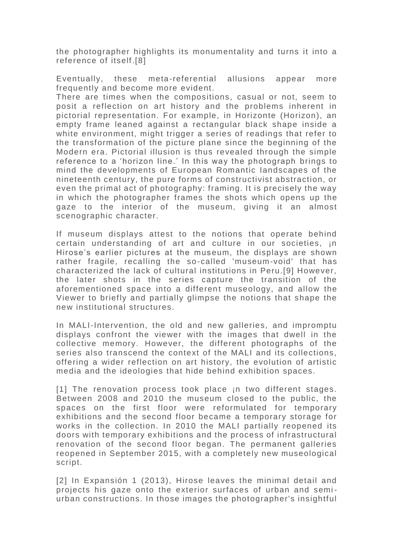the photographer highlights its monumentality and turns it into a reference of itself.[8]

Eventually, these meta-referential allusions appear more frequently and become more evident.

There are times when the compositions, casual or not, seem to posit a reflection on art history and the problems inherent in pictorial representation. For example, in Horizonte (Horizon), an empty frame leaned against a rectangular black shape inside a white environment, might trigger a series of readings that refer to the transformation of the picture plane since the beginning of the Modern era. Pictorial illusion is thus revealed through the simple reference to a 'horizon Iine.' In this way the photograph brings to mind the developments of European Romantic Iandscapes of the nineteenth century, the pure forms of constructivist abstraction, or even the primal act of photography: framing. It is precisely the way in which the photographer frames the shots which opens up the gaze to the interior of the museum, giving it an almost scenographic character.

If museum displays attest to the notions that operate behind certain understanding of art and culture in our societies, ¡n Hirose's earlier pictures at the museum, the displays are shown rather fragile, recalling the so-called 'museum-void' that has characterized the lack of cultural institutions in Peru.[9] However, the later shots in the series capture the transition of the aforementioned space into a different museology, and allow the Viewer to briefly and partially glimpse the notions that shape the new institutional structures.

In MALI-Intervention, the old and new galleries, and impromptu displays confront the viewer with the images that dwell in the collective memory. However, the different photographs of the series also transcend the context of the MALI and its collections, offering a wider reflection on art history, the evolution of artistic media and the ideologies that hide behind exhibition spaces.

[1] The renovation process took place in two different stages. Between 2008 and 2010 the museum closed to the public, the spaces on the first floor were reformulated for temporary exhibitions and the second floor became a temporary storage for works in the collection. In 2010 the MALI partially reopened its doors with temporary exhibitions and the process of infrastructural renovation of the second floor began. The permanent galleries reopened in September 2015, with a completely new museological script.

[2] In Expansión 1 (2013), Hirose leaves the minimal detail and projects his gaze onto the exterior surfaces of urban and semi urban constructions. In those images the photographer's insightful